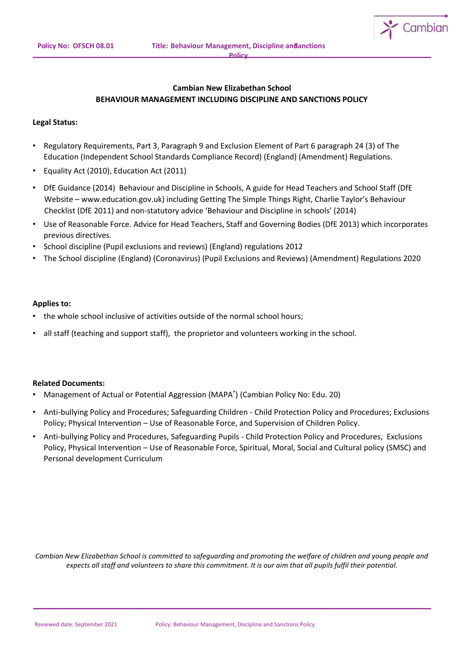

# **Cambian New Elizabethan School BEHAVIOUR MANAGEMENT INCLUDING DISCIPLINE AND SANCTIONS POLICY**

# **Legal Status:**

- Regulatory Requirements, Part 3, Paragraph 9 and Exclusion Element of Part 6 paragraph 24 (3) of The Education (Independent School Standards Compliance Record) (England) (Amendment) Regulations.
- Equality Act (2010), Education Act (2011)
- DfE Guidance (2014) Behaviour and Discipline in Schools, A guide for Head Teachers and School Staff (DfE Website – www.education.gov.uk) including Getting The Simple Things Right, Charlie Taylor's Behaviour Checklist (DfE 2011) and non-statutory advice 'Behaviour and Discipline in schools' (2014)
- Use of Reasonable Force. Advice for Head Teachers, Staff and Governing Bodies (DfE 2013) which incorporates previous directives.
- School discipline (Pupil exclusions and reviews) (England) regulations 2012
- The School discipline (England) (Coronavirus) (Pupil Exclusions and Reviews) (Amendment) Regulations 2020

### **Applies to:**

- the whole school inclusive of activities outside of the normal school hours;
- all staff (teaching and support staff), the proprietor and volunteers working in the school.

### **Related Documents:**

- Management of Actual or Potential Aggression (MAPA<sup>®</sup>) (Cambian Policy No: Edu. 20)
- Anti-bullying Policy and Procedures; Safeguarding Children Child Protection Policy and Procedures; Exclusions Policy; Physical Intervention – Use of Reasonable Force, and Supervision of Children Policy.
- Anti-bullying Policy and Procedures, Safeguarding Pupils Child Protection Policy and Procedures, Exclusions Policy, Physical Intervention – Use of Reasonable Force, Spiritual, Moral, Social and Cultural policy (SMSC) and Personal development Curriculum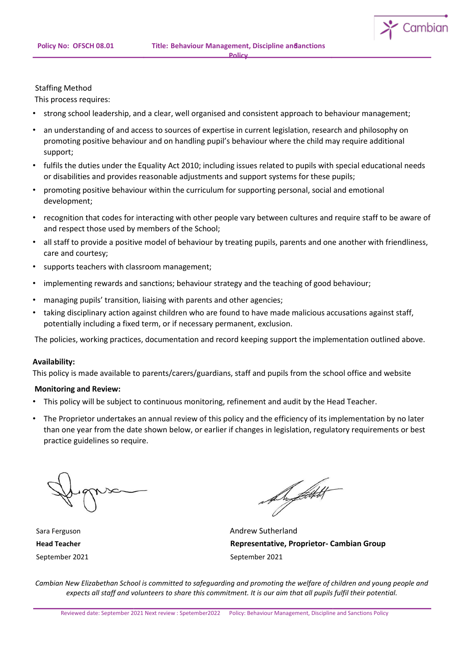

#### Staffing Method

This process requires:

- strong school leadership, and a clear, well organised and consistent approach to behaviour management;
- an understanding of and access to sources of expertise in current legislation, research and philosophy on promoting positive behaviour and on handling pupil's behaviour where the child may require additional support;
- fulfils the duties under the Equality Act 2010; including issues related to pupils with special educational needs or disabilities and provides reasonable adjustments and support systems for these pupils;
- promoting positive behaviour within the curriculum for supporting personal, social and emotional development;
- recognition that codes for interacting with other people vary between cultures and require staff to be aware of and respect those used by members of the School;
- all staff to provide a positive model of behaviour by treating pupils, parents and one another with friendliness, care and courtesy;
- supports teachers with classroom management;
- implementing rewards and sanctions; behaviour strategy and the teaching of good behaviour;
- managing pupils' transition, liaising with parents and other agencies;
- taking disciplinary action against children who are found to have made malicious accusations against staff, potentially including a fixed term, or if necessary permanent, exclusion.

The policies, working practices, documentation and record keeping support the implementation outlined above.

#### **Availability:**

This policy is made available to parents/carers/guardians, staff and pupils from the school office and website

### **Monitoring and Review:**

- This policy will be subject to continuous monitoring, refinement and audit by the Head Teacher.
- The Proprietor undertakes an annual review of this policy and the efficiency of its implementation by no later than one year from the date shown below, or earlier if changes in legislation, regulatory requirements or best practice guidelines so require.

September 2021 September 2021

friftakt

Sara Ferguson **Andrew Sutherland Head Teacher Representative, Proprietor- Cambian Group**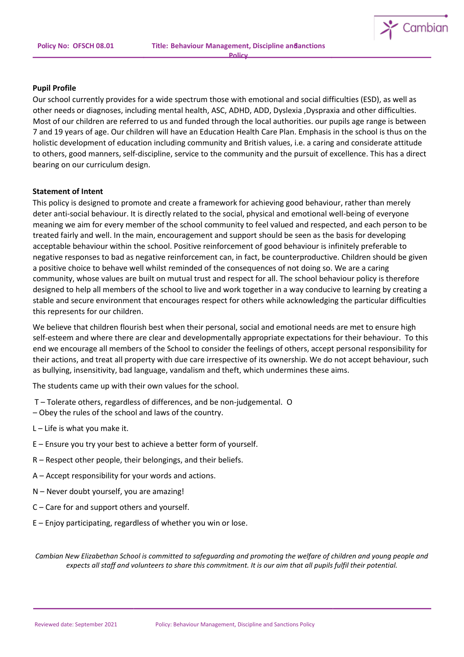

#### **Pupil Profile**

Our school currently provides for a wide spectrum those with emotional and social difficulties (ESD), as well as other needs or diagnoses, including mental health, ASC, ADHD, ADD, Dyslexia ,Dyspraxia and other difficulties. Most of our children are referred to us and funded through the local authorities. our pupils age range is between 7 and 19 years of age. Our children will have an Education Health Care Plan. Emphasis in the school is thus on the holistic development of education including community and British values, i.e. a caring and considerate attitude to others, good manners, self-discipline, service to the community and the pursuit of excellence. This has a direct bearing on our curriculum design.

#### **Statement of Intent**

This policy is designed to promote and create a framework for achieving good behaviour, rather than merely deter anti-social behaviour. It is directly related to the social, physical and emotional well-being of everyone meaning we aim for every member of the school community to feel valued and respected, and each person to be treated fairly and well. In the main, encouragement and support should be seen as the basis for developing acceptable behaviour within the school. Positive reinforcement of good behaviour is infinitely preferable to negative responses to bad as negative reinforcement can, in fact, be counterproductive. Children should be given a positive choice to behave well whilst reminded of the consequences of not doing so. We are a caring community, whose values are built on mutual trust and respect for all. The school behaviour policy is therefore designed to help all members of the school to live and work together in a way conducive to learning by creating a stable and secure environment that encourages respect for others while acknowledging the particular difficulties this represents for our children.

We believe that children flourish best when their personal, social and emotional needs are met to ensure high self-esteem and where there are clear and developmentally appropriate expectations for their behaviour. To this end we encourage all members of the School to consider the feelings of others, accept personal responsibility for their actions, and treat all property with due care irrespective of its ownership. We do not accept behaviour, such as bullying, insensitivity, bad language, vandalism and theft, which undermines these aims.

The students came up with their own values for the school.

- T Tolerate others, regardless of differences, and be non-judgemental. O
- Obey the rules of the school and laws of the country.
- $L$  Life is what you make it.
- E Ensure you try your best to achieve a better form of yourself.
- R Respect other people, their belongings, and their beliefs.
- A Accept responsibility for your words and actions.
- N Never doubt yourself, you are amazing!
- C Care for and support others and yourself.
- E Enjoy participating, regardless of whether you win or lose.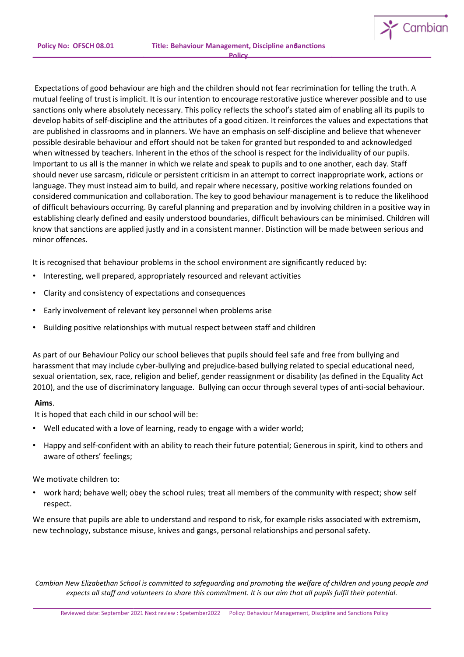$\sim$  Cambian

Expectations of good behaviour are high and the children should not fear recrimination for telling the truth. A mutual feeling of trust is implicit. It is our intention to encourage restorative justice wherever possible and to use sanctions only where absolutely necessary. This policy reflects the school's stated aim of enabling all its pupils to develop habits of self-discipline and the attributes of a good citizen. It reinforces the values and expectations that are published in classrooms and in planners. We have an emphasis on self-discipline and believe that whenever possible desirable behaviour and effort should not be taken for granted but responded to and acknowledged when witnessed by teachers. Inherent in the ethos of the school is respect for the individuality of our pupils. Important to us all is the manner in which we relate and speak to pupils and to one another, each day. Staff should never use sarcasm, ridicule or persistent criticism in an attempt to correct inappropriate work, actions or language. They must instead aim to build, and repair where necessary, positive working relations founded on considered communication and collaboration. The key to good behaviour management is to reduce the likelihood of difficult behaviours occurring. By careful planning and preparation and by involving children in a positive way in establishing clearly defined and easily understood boundaries, difficult behaviours can be minimised. Children will know that sanctions are applied justly and in a consistent manner. Distinction will be made between serious and minor offences.

It is recognised that behaviour problems in the school environment are significantly reduced by:

- Interesting, well prepared, appropriately resourced and relevant activities
- Clarity and consistency of expectations and consequences
- Early involvement of relevant key personnel when problems arise
- Building positive relationships with mutual respect between staff and children

As part of our Behaviour Policy our school believes that pupils should feel safe and free from bullying and harassment that may include cyber-bullying and prejudice-based bullying related to special educational need, sexual orientation, sex, race, religion and belief, gender reassignment or disability (as defined in the Equality Act 2010), and the use of discriminatory language. Bullying can occur through several types of anti-social behaviour.

### **Aims**.

It is hoped that each child in our school will be:

- Well educated with a love of learning, ready to engage with a wider world;
- Happy and self-confident with an ability to reach their future potential; Generous in spirit, kind to others and aware of others' feelings;

### We motivate children to:

• work hard; behave well; obey the school rules; treat all members of the community with respect; show self respect.

We ensure that pupils are able to understand and respond to risk, for example risks associated with extremism, new technology, substance misuse, knives and gangs, personal relationships and personal safety.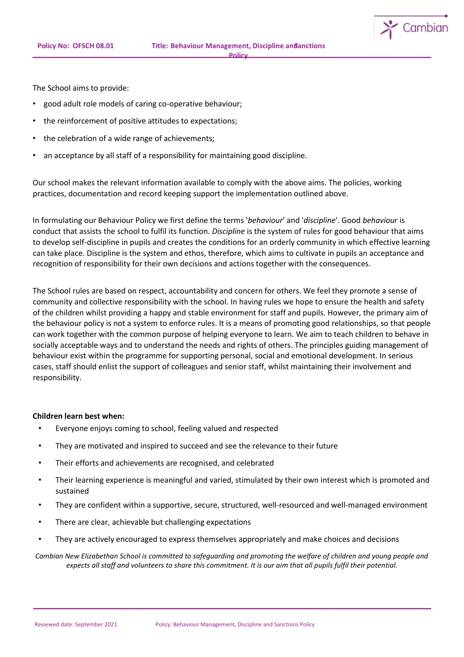The School aims to provide:

- good adult role models of caring co-operative behaviour;
- the reinforcement of positive attitudes to expectations;
- the celebration of a wide range of achievements;
- an acceptance by all staff of a responsibility for maintaining good discipline.

Our school makes the relevant information available to comply with the above aims. The policies, working practices, documentation and record keeping support the implementation outlined above.

In formulating our Behaviour Policy we first define the terms '*behaviour*' and '*discipline*'. Good *behaviour* is conduct that assists the school to fulfil its function. *Discipline* is the system of rules for good behaviour that aims to develop self-discipline in pupils and creates the conditions for an orderly community in which effective learning can take place. Discipline is the system and ethos, therefore, which aims to cultivate in pupils an acceptance and recognition of responsibility for their own decisions and actions together with the consequences.

The School rules are based on respect, accountability and concern for others. We feel they promote a sense of community and collective responsibility with the school. In having rules we hope to ensure the health and safety of the children whilst providing a happy and stable environment for staff and pupils. However, the primary aim of the behaviour policy is not a system to enforce rules. It is a means of promoting good relationships, so that people can work together with the common purpose of helping everyone to learn. We aim to teach children to behave in socially acceptable ways and to understand the needs and rights of others. The principles guiding management of behaviour exist within the programme for supporting personal, social and emotional development. In serious cases, staff should enlist the support of colleagues and senior staff, whilst maintaining their involvement and responsibility.

### **Children learn best when:**

- Everyone enjoys coming to school, feeling valued and respected
- They are motivated and inspired to succeed and see the relevance to their future
- Their efforts and achievements are recognised, and celebrated
- Their learning experience is meaningful and varied, stimulated by their own interest which is promoted and sustained
- They are confident within a supportive, secure, structured, well-resourced and well-managed environment
- There are clear, achievable but challenging expectations
- They are actively encouraged to express themselves appropriately and make choices and decisions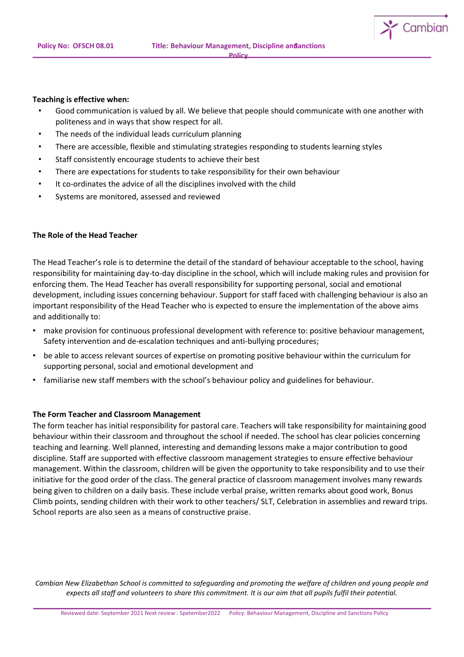

#### **Teaching is effective when:**

- Good communication is valued by all. We believe that people should communicate with one another with politeness and in ways that show respect for all.
- The needs of the individual leads curriculum planning
- There are accessible, flexible and stimulating strategies responding to students learning styles
- Staff consistently encourage students to achieve their best
- There are expectations for students to take responsibility for their own behaviour
- It co-ordinates the advice of all the disciplines involved with the child
- Systems are monitored, assessed and reviewed

# **The Role of the Head Teacher**

The Head Teacher's role is to determine the detail of the standard of behaviour acceptable to the school, having responsibility for maintaining day-to-day discipline in the school, which will include making rules and provision for enforcing them. The Head Teacher has overall responsibility for supporting personal, social and emotional development, including issues concerning behaviour. Support for staff faced with challenging behaviour is also an important responsibility of the Head Teacher who is expected to ensure the implementation of the above aims and additionally to:

- make provision for continuous professional development with reference to: positive behaviour management, Safety intervention and de-escalation techniques and anti-bullying procedures;
- be able to access relevant sources of expertise on promoting positive behaviour within the curriculum for supporting personal, social and emotional development and
- familiarise new staff members with the school's behaviour policy and guidelines for behaviour.

# **The Form Teacher and Classroom Management**

The form teacher has initial responsibility for pastoral care. Teachers will take responsibility for maintaining good behaviour within their classroom and throughout the school if needed. The school has clear policies concerning teaching and learning. Well planned, interesting and demanding lessons make a major contribution to good discipline. Staff are supported with effective classroom management strategies to ensure effective behaviour management. Within the classroom, children will be given the opportunity to take responsibility and to use their initiative for the good order of the class. The general practice of classroom management involves many rewards being given to children on a daily basis. These include verbal praise, written remarks about good work, Bonus Climb points, sending children with their work to other teachers/ SLT, Celebration in assemblies and reward trips. School reports are also seen as a means of constructive praise.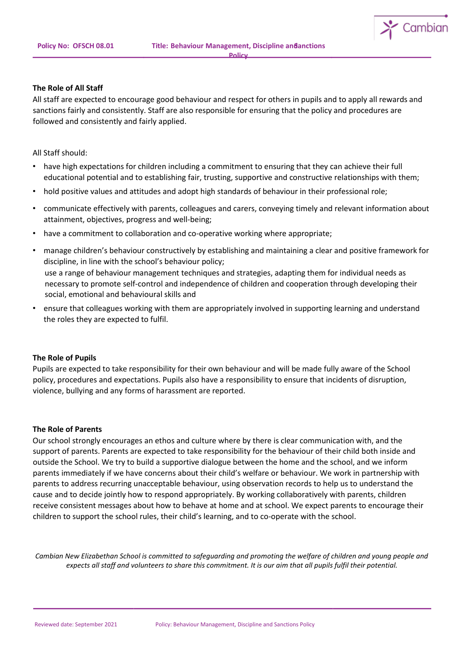

#### **The Role of All Staff**

All staff are expected to encourage good behaviour and respect for others in pupils and to apply all rewards and sanctions fairly and consistently. Staff are also responsible for ensuring that the policy and procedures are followed and consistently and fairly applied.

All Staff should:

- have high expectations for children including a commitment to ensuring that they can achieve their full educational potential and to establishing fair, trusting, supportive and constructive relationships with them;
- hold positive values and attitudes and adopt high standards of behaviour in their professional role;
- communicate effectively with parents, colleagues and carers, conveying timely and relevant information about attainment, objectives, progress and well-being;
- have a commitment to collaboration and co-operative working where appropriate;
- manage children's behaviour constructively by establishing and maintaining a clear and positive framework for discipline, in line with the school's behaviour policy; use a range of behaviour management techniques and strategies, adapting them for individual needs as necessary to promote self-control and independence of children and cooperation through developing their social, emotional and behavioural skills and
- ensure that colleagues working with them are appropriately involved in supporting learning and understand the roles they are expected to fulfil.

#### **The Role of Pupils**

Pupils are expected to take responsibility for their own behaviour and will be made fully aware of the School policy, procedures and expectations. Pupils also have a responsibility to ensure that incidents of disruption, violence, bullying and any forms of harassment are reported.

#### **The Role of Parents**

Our school strongly encourages an ethos and culture where by there is clear communication with, and the support of parents. Parents are expected to take responsibility for the behaviour of their child both inside and outside the School. We try to build a supportive dialogue between the home and the school, and we inform parents immediately if we have concerns about their child's welfare or behaviour. We work in partnership with parents to address recurring unacceptable behaviour, using observation records to help us to understand the cause and to decide jointly how to respond appropriately. By working collaboratively with parents, children receive consistent messages about how to behave at home and at school. We expect parents to encourage their children to support the school rules, their child's learning, and to co-operate with the school.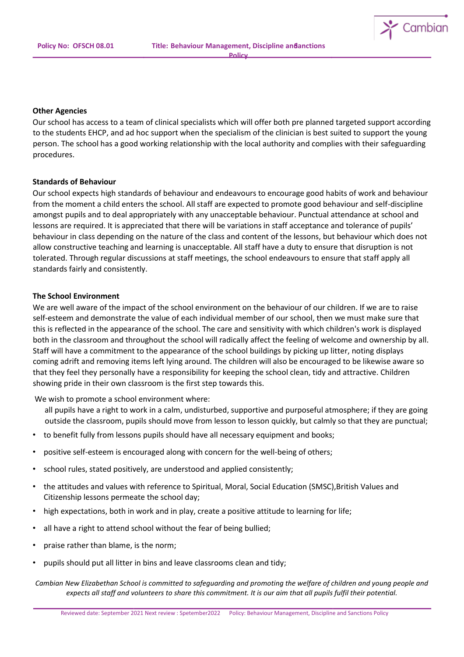

#### **Other Agencies**

Our school has access to a team of clinical specialists which will offer both pre planned targeted support according to the students EHCP, and ad hoc support when the specialism of the clinician is best suited to support the young person. The school has a good working relationship with the local authority and complies with their safeguarding procedures.

#### **Standards of Behaviour**

Our school expects high standards of behaviour and endeavours to encourage good habits of work and behaviour from the moment a child enters the school. All staff are expected to promote good behaviour and self-discipline amongst pupils and to deal appropriately with any unacceptable behaviour. Punctual attendance at school and lessons are required. It is appreciated that there will be variations in staff acceptance and tolerance of pupils' behaviour in class depending on the nature of the class and content of the lessons, but behaviour which does not allow constructive teaching and learning is unacceptable. All staff have a duty to ensure that disruption is not tolerated. Through regular discussions at staff meetings, the school endeavours to ensure that staff apply all standards fairly and consistently.

#### **The School Environment**

We are well aware of the impact of the school environment on the behaviour of our children. If we are to raise self-esteem and demonstrate the value of each individual member of our school, then we must make sure that this is reflected in the appearance of the school. The care and sensitivity with which children's work is displayed both in the classroom and throughout the school will radically affect the feeling of welcome and ownership by all. Staff will have a commitment to the appearance of the school buildings by picking up litter, noting displays coming adrift and removing items left lying around. The children will also be encouraged to be likewise aware so that they feel they personally have a responsibility for keeping the school clean, tidy and attractive. Children showing pride in their own classroom is the first step towards this.

We wish to promote a school environment where:

- all pupils have a right to work in a calm, undisturbed, supportive and purposeful atmosphere; if they are going outside the classroom, pupils should move from lesson to lesson quickly, but calmly so that they are punctual;
- to benefit fully from lessons pupils should have all necessary equipment and books;
- positive self-esteem is encouraged along with concern for the well-being of others;
- school rules, stated positively, are understood and applied consistently;
- the attitudes and values with reference to Spiritual, Moral, Social Education (SMSC),British Values and Citizenship lessons permeate the school day;
- high expectations, both in work and in play, create a positive attitude to learning for life;
- all have a right to attend school without the fear of being bullied;
- praise rather than blame, is the norm;
- pupils should put all litter in bins and leave classrooms clean and tidy;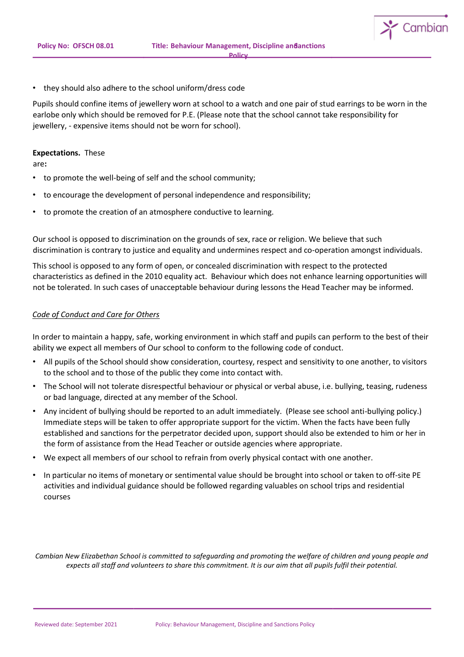

Pupils should confine items of jewellery worn at school to a watch and one pair of stud earrings to be worn in the earlobe only which should be removed for P.E. (Please note that the school cannot take responsibility for jewellery, - expensive items should not be worn for school).

#### **Expectations.** These

are**:**

- to promote the well-being of self and the school community;
- to encourage the development of personal independence and responsibility;
- to promote the creation of an atmosphere conductive to learning.

Our school is opposed to discrimination on the grounds of sex, race or religion. We believe that such discrimination is contrary to justice and equality and undermines respect and co-operation amongst individuals.

This school is opposed to any form of open, or concealed discrimination with respect to the protected characteristics as defined in the 2010 equality act. Behaviour which does not enhance learning opportunities will not be tolerated. In such cases of unacceptable behaviour during lessons the Head Teacher may be informed.

# *Code of Conduct and Care for Others*

In order to maintain a happy, safe, working environment in which staff and pupils can perform to the best of their ability we expect all members of Our school to conform to the following code of conduct.

- All pupils of the School should show consideration, courtesy, respect and sensitivity to one another, to visitors to the school and to those of the public they come into contact with.
- The School will not tolerate disrespectful behaviour or physical or verbal abuse, i.e. bullying, teasing, rudeness or bad language, directed at any member of the School.
- Any incident of bullying should be reported to an adult immediately. (Please see school anti-bullying policy.) Immediate steps will be taken to offer appropriate support for the victim. When the facts have been fully established and sanctions for the perpetrator decided upon, support should also be extended to him or her in the form of assistance from the Head Teacher or outside agencies where appropriate.
- We expect all members of our school to refrain from overly physical contact with one another.
- In particular no items of monetary or sentimental value should be brought into school or taken to off-site PE activities and individual guidance should be followed regarding valuables on school trips and residential courses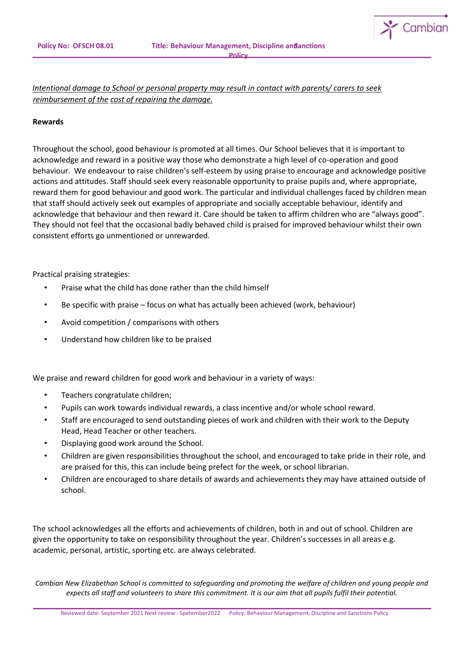

*Intentional damage to School or personal property may result in contact with parents/ carers to seek reimbursement of the cost of repairing the damage.*

#### **Rewards**

Throughout the school, good behaviour is promoted at all times. Our School believes that it is important to acknowledge and reward in a positive way those who demonstrate a high level of co-operation and good behaviour. We endeavour to raise children's self-esteem by using praise to encourage and acknowledge positive actions and attitudes. Staff should seek every reasonable opportunity to praise pupils and, where appropriate, reward them for good behaviour and good work. The particular and individual challenges faced by children mean that staff should actively seek out examples of appropriate and socially acceptable behaviour, identify and acknowledge that behaviour and then reward it. Care should be taken to affirm children who are "always good". They should not feel that the occasional badly behaved child is praised for improved behaviour whilst their own consistent efforts go unmentioned or unrewarded.

Practical praising strategies:

- Praise what the child has done rather than the child himself
- Be specific with praise focus on what has actually been achieved (work, behaviour)
- Avoid competition / comparisons with others
- Understand how children like to be praised

We praise and reward children for good work and behaviour in a variety of ways:

- Teachers congratulate children;
- Pupils can work towards individual rewards, a class incentive and/or whole school reward.
- Staff are encouraged to send outstanding pieces of work and children with their work to the Deputy Head, Head Teacher or other teachers.
- Displaying good work around the School.
- Children are given responsibilities throughout the school, and encouraged to take pride in their role, and are praised for this, this can include being prefect for the week, or school librarian.
- Children are encouraged to share details of awards and achievements they may have attained outside of school.

The school acknowledges all the efforts and achievements of children, both in and out of school. Children are given the opportunity to take on responsibility throughout the year. Children's successes in all areas e.g. academic, personal, artistic, sporting etc. are always celebrated.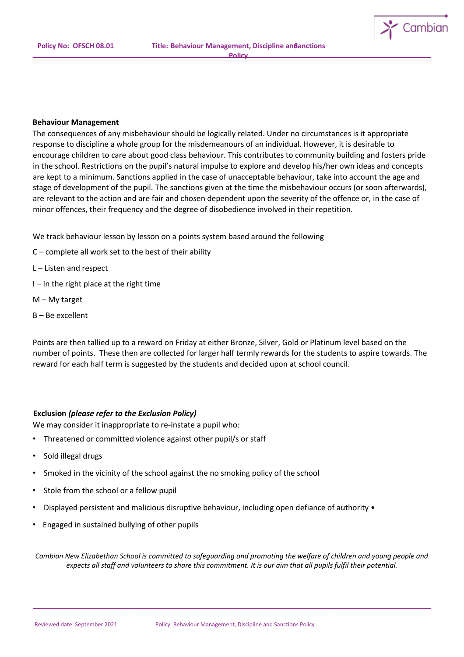

#### **Behaviour Management**

The consequences of any misbehaviour should be logically related. Under no circumstances is it appropriate response to discipline a whole group for the misdemeanours of an individual. However, it is desirable to encourage children to care about good class behaviour. This contributes to community building and fosters pride in the school. Restrictions on the pupil's natural impulse to explore and develop his/her own ideas and concepts are kept to a minimum. Sanctions applied in the case of unacceptable behaviour, take into account the age and stage of development of the pupil. The sanctions given at the time the misbehaviour occurs (or soon afterwards), are relevant to the action and are fair and chosen dependent upon the severity of the offence or, in the case of minor offences, their frequency and the degree of disobedience involved in their repetition.

We track behaviour lesson by lesson on a points system based around the following

- C complete all work set to the best of their ability
- L Listen and respect
- I In the right place at the right time
- M My target
- B Be excellent

Points are then tallied up to a reward on Friday at either Bronze, Silver, Gold or Platinum level based on the number of points. These then are collected for larger half termly rewards for the students to aspire towards. The reward for each half term is suggested by the students and decided upon at school council.

#### **Exclusion** *(please refer to the Exclusion Policy)*

We may consider it inappropriate to re-instate a pupil who:

- Threatened or committed violence against other pupil/s or staff
- Sold illegal drugs
- Smoked in the vicinity of the school against the no smoking policy of the school
- Stole from the school or a fellow pupil
- Displayed persistent and malicious disruptive behaviour, including open defiance of authority •
- Engaged in sustained bullying of other pupils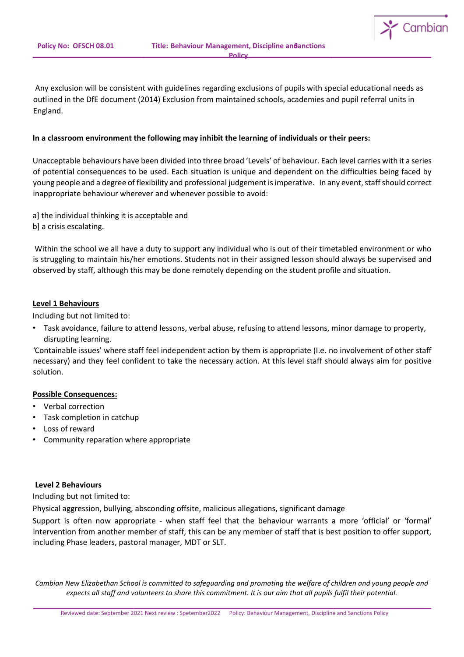

Any exclusion will be consistent with guidelines regarding exclusions of pupils with special educational needs as outlined in the DfE document (2014) Exclusion from maintained schools, academies and pupil referral units in England.

# **In a classroom environment the following may inhibit the learning of individuals or their peers:**

Unacceptable behaviours have been divided into three broad 'Levels' of behaviour. Each level carries with it a series of potential consequences to be used. Each situation is unique and dependent on the difficulties being faced by young people and a degree of flexibility and professional judgement is imperative. In any event, staff should correct inappropriate behaviour wherever and whenever possible to avoid:

a] the individual thinking it is acceptable and b] a crisis escalating.

Within the school we all have a duty to support any individual who is out of their timetabled environment or who is struggling to maintain his/her emotions. Students not in their assigned lesson should always be supervised and observed by staff, although this may be done remotely depending on the student profile and situation.

# **Level 1 Behaviours**

Including but not limited to:

• Task avoidance, failure to attend lessons, verbal abuse, refusing to attend lessons, minor damage to property, disrupting learning.

*'*Containable issues' where staff feel independent action by them is appropriate (I.e. no involvement of other staff necessary) and they feel confident to take the necessary action. At this level staff should always aim for positive solution.

### **Possible Consequences:**

- Verbal correction
- Task completion in catchup
- Loss of reward
- Community reparation where appropriate

### **Level 2 Behaviours**

Including but not limited to:

Physical aggression, bullying, absconding offsite, malicious allegations, significant damage

Support is often now appropriate - when staff feel that the behaviour warrants a more 'official' or 'formal' intervention from another member of staff, this can be any member of staff that is best position to offer support, including Phase leaders, pastoral manager, MDT or SLT.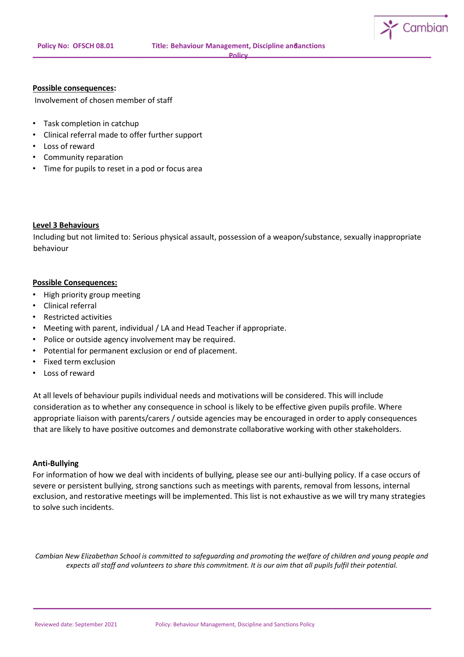

#### **Possible consequences:**

Involvement of chosen member of staff

- Task completion in catchup
- Clinical referral made to offer further support
- Loss of reward
- Community reparation
- Time for pupils to reset in a pod or focus area

### **Level 3 Behaviours**

Including but not limited to: Serious physical assault, possession of a weapon/substance, sexually inappropriate behaviour

### **Possible Consequences:**

- High priority group meeting
- Clinical referral
- Restricted activities
- Meeting with parent, individual / LA and Head Teacher if appropriate.
- Police or outside agency involvement may be required.
- Potential for permanent exclusion or end of placement.
- Fixed term exclusion
- Loss of reward

At all levels of behaviour pupils individual needs and motivations will be considered. This will include consideration as to whether any consequence in school is likely to be effective given pupils profile. Where appropriate liaison with parents/carers / outside agencies may be encouraged in order to apply consequences that are likely to have positive outcomes and demonstrate collaborative working with other stakeholders.

#### **Anti-Bullying**

For information of how we deal with incidents of bullying, please see our anti-bullying policy. If a case occurs of severe or persistent bullying, strong sanctions such as meetings with parents, removal from lessons, internal exclusion, and restorative meetings will be implemented. This list is not exhaustive as we will try many strategies to solve such incidents.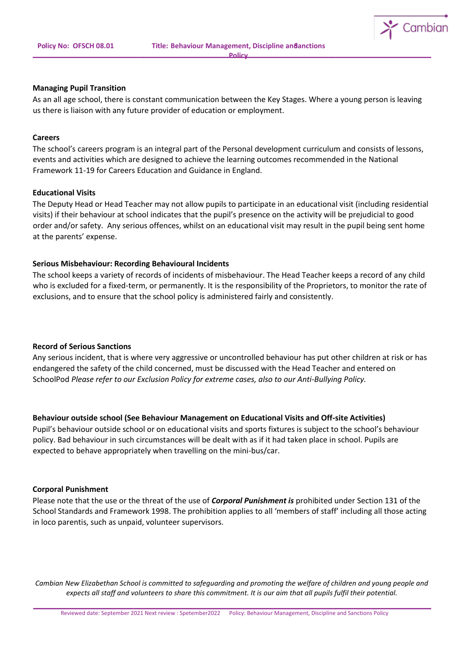

#### **Managing Pupil Transition**

As an all age school, there is constant communication between the Key Stages. Where a young person is leaving us there is liaison with any future provider of education or employment.

#### **Careers**

The school's careers program is an integral part of the Personal development curriculum and consists of lessons, events and activities which are designed to achieve the learning outcomes recommended in the National Framework 11-19 for Careers Education and Guidance in England.

### **Educational Visits**

The Deputy Head or Head Teacher may not allow pupils to participate in an educational visit (including residential visits) if their behaviour at school indicates that the pupil's presence on the activity will be prejudicial to good order and/or safety. Any serious offences, whilst on an educational visit may result in the pupil being sent home at the parents' expense.

### **Serious Misbehaviour: Recording Behavioural Incidents**

The school keeps a variety of records of incidents of misbehaviour. The Head Teacher keeps a record of any child who is excluded for a fixed-term, or permanently. It is the responsibility of the Proprietors, to monitor the rate of exclusions, and to ensure that the school policy is administered fairly and consistently.

### **Record of Serious Sanctions**

Any serious incident, that is where very aggressive or uncontrolled behaviour has put other children at risk or has endangered the safety of the child concerned, must be discussed with the Head Teacher and entered on SchoolPod *Please refer to our Exclusion Policy for extreme cases, also to our Anti-Bullying Policy.*

#### **Behaviour outside school (See Behaviour Management on Educational Visits and Off-site Activities)**

Pupil's behaviour outside school or on educational visits and sports fixtures is subject to the school's behaviour policy. Bad behaviour in such circumstances will be dealt with as if it had taken place in school. Pupils are expected to behave appropriately when travelling on the mini-bus/car.

#### **Corporal Punishment**

Please note that the use or the threat of the use of *Corporal Punishment is* prohibited under Section 131 of the School Standards and Framework 1998. The prohibition applies to all 'members of staff' including all those acting in loco parentis, such as unpaid, volunteer supervisors.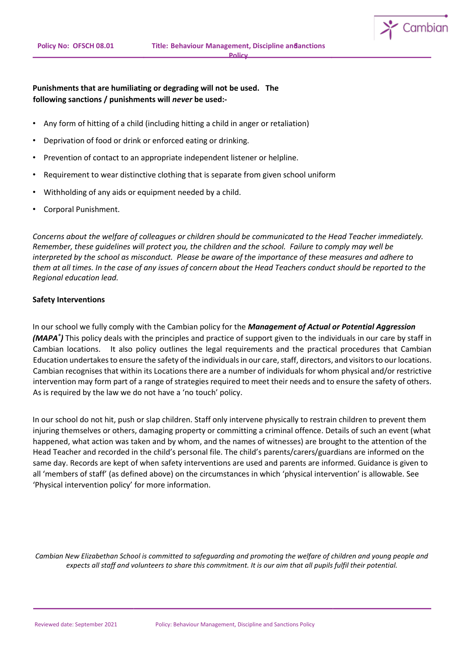

- Any form of hitting of a child (including hitting a child in anger or retaliation)
- Deprivation of food or drink or enforced eating or drinking.
- Prevention of contact to an appropriate independent listener or helpline.
- Requirement to wear distinctive clothing that is separate from given school uniform
- Withholding of any aids or equipment needed by a child.
- Corporal Punishment.

*Concerns about the welfare of colleagues or children should be communicated to the Head Teacher immediately. Remember, these guidelines will protect you, the children and the school. Failure to comply may well be interpreted by the school as misconduct. Please be aware of the importance of these measures and adhere to them at all times. In the case of any issues of concern about the Head Teachers conduct should be reported to the Regional education lead.* 

### **Safety Interventions**

In our school we fully comply with the Cambian policy for the *Management of Actual or Potential Aggression (MAPA® )* This policy deals with the principles and practice of support given to the individuals in our care by staff in Cambian locations. It also policy outlines the legal requirements and the practical procedures that Cambian Education undertakes to ensure the safety of the individuals in our care, staff, directors, and visitors to our locations. Cambian recognises that within its Locations there are a number of individuals for whom physical and/or restrictive intervention may form part of a range of strategies required to meet their needs and to ensure the safety of others. As is required by the law we do not have a 'no touch' policy.

In our school do not hit, push or slap children. Staff only intervene physically to restrain children to prevent them injuring themselves or others, damaging property or committing a criminal offence. Details of such an event (what happened, what action was taken and by whom, and the names of witnesses) are brought to the attention of the Head Teacher and recorded in the child's personal file. The child's parents/carers/guardians are informed on the same day. Records are kept of when safety interventions are used and parents are informed. Guidance is given to all 'members of staff' (as defined above) on the circumstances in which 'physical intervention' is allowable. See 'Physical intervention policy' for more information.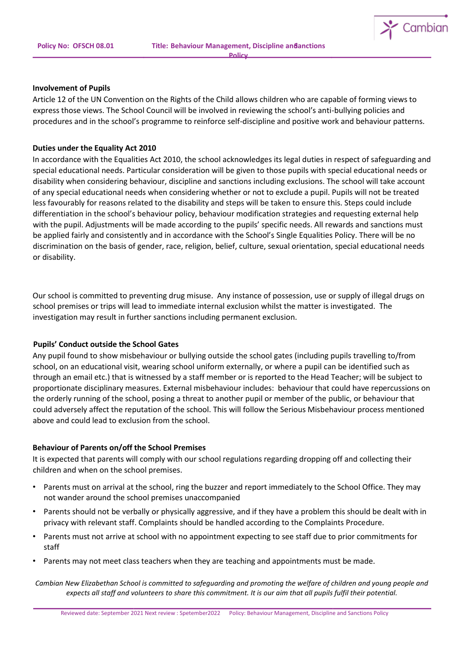

#### **Involvement of Pupils**

Article 12 of the UN Convention on the Rights of the Child allows children who are capable of forming views to express those views. The School Council will be involved in reviewing the school's anti-bullying policies and procedures and in the school's programme to reinforce self-discipline and positive work and behaviour patterns.

### **Duties under the Equality Act 2010**

In accordance with the Equalities Act 2010, the school acknowledges its legal duties in respect of safeguarding and special educational needs. Particular consideration will be given to those pupils with special educational needs or disability when considering behaviour, discipline and sanctions including exclusions. The school will take account of any special educational needs when considering whether or not to exclude a pupil. Pupils will not be treated less favourably for reasons related to the disability and steps will be taken to ensure this. Steps could include differentiation in the school's behaviour policy, behaviour modification strategies and requesting external help with the pupil. Adjustments will be made according to the pupils' specific needs. All rewards and sanctions must be applied fairly and consistently and in accordance with the School's Single Equalities Policy. There will be no discrimination on the basis of gender, race, religion, belief, culture, sexual orientation, special educational needs or disability.

Our school is committed to preventing drug misuse. Any instance of possession, use or supply of illegal drugs on school premises or trips will lead to immediate internal exclusion whilst the matter is investigated. The investigation may result in further sanctions including permanent exclusion.

### **Pupils' Conduct outside the School Gates**

Any pupil found to show misbehaviour or bullying outside the school gates (including pupils travelling to/from school, on an educational visit, wearing school uniform externally, or where a pupil can be identified such as through an email etc.) that is witnessed by a staff member or is reported to the Head Teacher; will be subject to proportionate disciplinary measures. External misbehaviour includes: behaviour that could have repercussions on the orderly running of the school, posing a threat to another pupil or member of the public, or behaviour that could adversely affect the reputation of the school. This will follow the Serious Misbehaviour process mentioned above and could lead to exclusion from the school.

# **Behaviour of Parents on/off the School Premises**

It is expected that parents will comply with our school regulations regarding dropping off and collecting their children and when on the school premises.

- Parents must on arrival at the school, ring the buzzer and report immediately to the School Office. They may not wander around the school premises unaccompanied
- Parents should not be verbally or physically aggressive, and if they have a problem this should be dealt with in privacy with relevant staff. Complaints should be handled according to the Complaints Procedure.
- Parents must not arrive at school with no appointment expecting to see staff due to prior commitments for staff
- Parents may not meet class teachers when they are teaching and appointments must be made.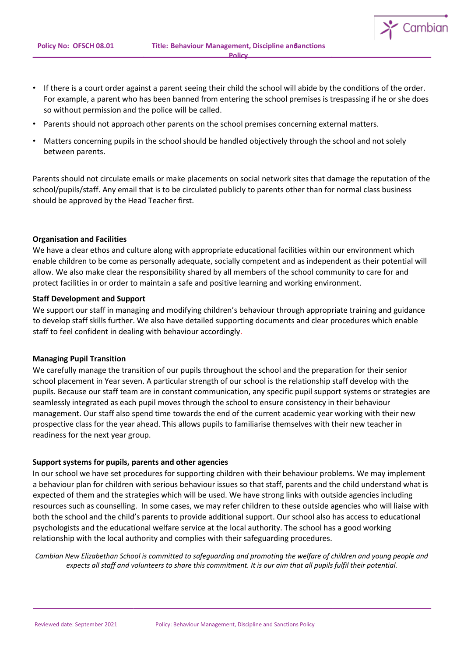- If there is a court order against a parent seeing their child the school will abide by the conditions of the order. For example, a parent who has been banned from entering the school premises is trespassing if he or she does so without permission and the police will be called.
- Parents should not approach other parents on the school premises concerning external matters.
- Matters concerning pupils in the school should be handled objectively through the school and not solely between parents.

Parents should not circulate emails or make placements on social network sites that damage the reputation of the school/pupils/staff. Any email that is to be circulated publicly to parents other than for normal class business should be approved by the Head Teacher first.

#### **Organisation and Facilities**

We have a clear ethos and culture along with appropriate educational facilities within our environment which enable children to be come as personally adequate, socially competent and as independent as their potential will allow. We also make clear the responsibility shared by all members of the school community to care for and protect facilities in or order to maintain a safe and positive learning and working environment.

### **Staff Development and Support**

We support our staff in managing and modifying children's behaviour through appropriate training and guidance to develop staff skills further. We also have detailed supporting documents and clear procedures which enable staff to feel confident in dealing with behaviour accordingly.

### **Managing Pupil Transition**

We carefully manage the transition of our pupils throughout the school and the preparation for their senior school placement in Year seven. A particular strength of our school is the relationship staff develop with the pupils. Because our staff team are in constant communication, any specific pupil support systems or strategies are seamlessly integrated as each pupil moves through the school to ensure consistency in their behaviour management. Our staff also spend time towards the end of the current academic year working with their new prospective class for the year ahead. This allows pupils to familiarise themselves with their new teacher in readiness for the next year group.

### **Support systems for pupils, parents and other agencies**

In our school we have set procedures for supporting children with their behaviour problems. We may implement a behaviour plan for children with serious behaviour issues so that staff, parents and the child understand what is expected of them and the strategies which will be used. We have strong links with outside agencies including resources such as counselling. In some cases, we may refer children to these outside agencies who will liaise with both the school and the child's parents to provide additional support. Our school also has access to educational psychologists and the educational welfare service at the local authority. The school has a good working relationship with the local authority and complies with their safeguarding procedures.